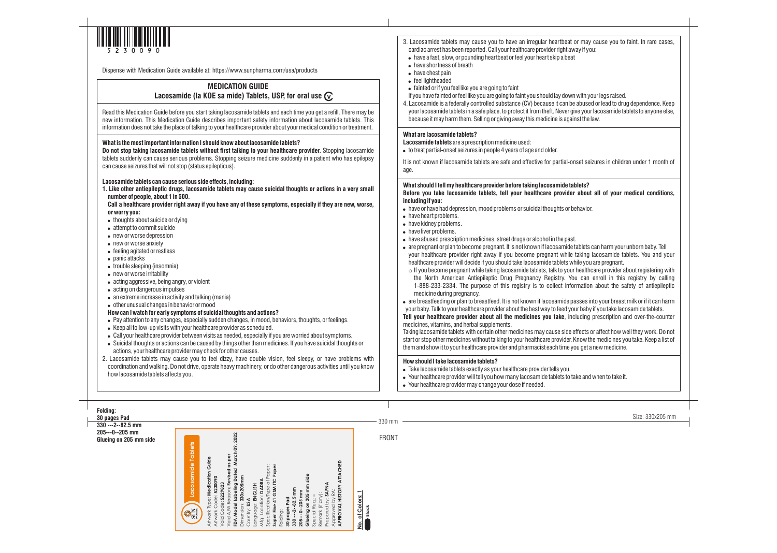330 mm

| may cause you to faint. In rare cases,<br>y if you:                                                                                                                                                                                        |
|--------------------------------------------------------------------------------------------------------------------------------------------------------------------------------------------------------------------------------------------|
| with your legs raised.<br>abused or lead to drug dependence. Keep<br>e your lacosamide tablets to anyone else,<br>st the law.                                                                                                              |
| et seizures in children under 1 month of                                                                                                                                                                                                   |
| lets?<br>about all of your medical conditions,<br>avior.                                                                                                                                                                                   |
|                                                                                                                                                                                                                                            |
| blets can harm your unborn baby. Tell<br>aking lacosamide tablets. You and your<br>le you are pregnant.<br>ealthcare provider about registering with<br>can enroll in this registry by calling<br>nation about the safety of antiepileptic |
| ses into your breast milk or if it can harm<br>r baby if you take lacosamide tablets.<br>uding prescription and over-the-counter                                                                                                           |
| fects or affect how well they work. Do not<br>how the medicines you take. Keep a list of<br>u get a new medicine.                                                                                                                          |
| e and when to take it.                                                                                                                                                                                                                     |
|                                                                                                                                                                                                                                            |
| Size: 330x205 mm                                                                                                                                                                                                                           |

FRONT

## **Folding:**

**30 pages Pad 330 ---2--82.5 mm**

**205---0--205 mm Glueing on 205 mm side** 



Dispense with Medication Guide available at: https://www.sunpharma.com/usa/products

# **MEDICATION GUIDE Lacosamide (la KOE sa mide) Tablets, USP, for oral use**

Read this Medication Guide before you start taking lacosamide tablets and each time you get a refill. There may be new information. This Medication Guide describes important safety information about lacosamide tablets. This information does not take the place of talking to your healthcare provider about your medical condition or treatment.

#### **What is the most important information I should know about lacosamide tablets?**

**Do not stop taking lacosamide tablets without first talking to your healthcare provider.** Stopping lacosamide tablets suddenly can cause serious problems. Stopping seizure medicine suddenly in a patient who has epilepsy can cause seizures that will not stop (status epilepticus).

#### **Lacosamide tablets can cause serious side effects, including:**

**1. Like other antiepileptic drugs, lacosamide tablets may cause suicidal thoughts or actions in a very small number of people, about 1 in 500.**

**Call a healthcare provider right away if you have any of these symptoms, especially if they are new, worse, or worry you:**

- $\bullet$  thoughts about suicide or dying
- attempt to commit suicide
- new or worse depression
- new or worse anxiety
- feeling agitated or restless
- panic attacks
- trouble sleeping (insomnia)
- new or worse irritability
- acting aggressive, being angry, or violent
- acting on dangerous impulses
- $\bullet$  an extreme increase in activity and talking (mania)
- other unusual changes in behavior or mood

## **How can I watch for early symptoms of suicidal thoughts and actions?**

It is not known if lacosamide tablets are safe and effective for partial-ons age.

What should I tell my healthcare provider before taking lacosamide table Before you take lacosamide tablets, tell your healthcare provider **including if you:**

- . have or have had depression, mood problems or suicidal thoughts or behavior.
- have heart problems.
- have kidney problems.
- have liver problems.
- . have abused prescription medicines, street drugs or alcohol in the past.
- are pregnant or plan to become pregnant. It is not known if lacosamide table your healthcare provider right away if you become pregnant while ta healthcare provider will decide if you should take lacosamide tablets while
- $\circ$  If you become pregnant while taking lacosamide tablets, talk to your h the North American Antiepileptic Drug Pregnancy Registry. You 1-888-233-2334. The purpose of this registry is to collect inform medicine during pregnancy.
- are breastfeeding or plan to breastfeed. It is not known if lacosamide pas

- ! Pay attention to any changes, especially sudden changes, in mood, behaviors, thoughts, or feelings.
- Keep all follow-up visits with your healthcare provider as scheduled.
- ! Call your healthcare provider between visits as needed, especially if you are worried about symptoms.
- ! Suicidal thoughts or actions can be caused by things other than medicines. If you have suicidal thoughts or actions, your healthcare provider may check for other causes.

2. Lacosamide tablets may cause you to feel dizzy, have double vision, feel sleepy, or have problems with coordination and walking. Do not drive, operate heavy machinery, or do other dangerous activities until you know how lacosamide tablets affects you.

- 3. Lacosamide tablets may cause you to have an irregular heartbeat or cardiac arrest has been reported. Call your healthcare provider right away . have a fast, slow, or pounding heartbeat or feel your heart skip a beat
- have shortness of breath
- $\bullet$  have chest pain
- feel lightheaded
- fainted or if you feel like you are going to faint
- If you have fainted or feel like you are going to faint you should lay down v
- 4. Lacosamide is a federally controlled substance (CV) because it can be al your lacosamide tablets in a safe place, to protect it from theft. Never give because it may harm them. Selling or giving away this medicine is against

your baby. Talk to your healthcare provider about the best way to feed your **Tell your healthcare provider about all the medicines you take**, including preserve medicines, vitamins, and herbal supplements.

Taking lacosamide tablets with certain other medicines may cause side eff start or stop other medicines without talking to your healthcare provider. Kn them and show it to your healthcare provider and pharmacist each time you

### **What are lacosamide tablets?**

**Lacosamide tablets** are a prescription medicine used:

 $\bullet$  to treat partial-onset seizures in people 4 years of age and older.

## **How should I take lacosamide tablets?**

- . Take lacosamide tablets exactly as your healthcare provider tells you.
- . Your healthcare provider will tell you how many lacosamide tablets to tak
- Your healthcare provider may change your dose if needed.

| FDA Model Labeling Dated March 09, 2022<br>Lacosamide Tablets<br>Void A/W Reason: Revised as per<br>Artwork Type: Medication Guide<br>APPROVAL HISTORY ATTACHED<br>Super Fine 41 GSM ITC Paper<br>Specification/Type of Paper:<br>Glueing on 205 mm side<br>Dimension: 330x205mm<br>Artwork Code: 5230090<br>Mfg. Location: DADRA<br>Prepared by: SAPNA<br>Void Code: 5229823<br>Language: ENGLISH<br>330 --- 2--82.5 mm<br>Approved by RA:<br>205---0--205 mm<br>No. of Colors: 1<br>Remark (if any):<br>Special Reg.:-<br>30 pages Pad<br>Country: USA<br><b>SUN</b><br>Folding: |
|------------------------------------------------------------------------------------------------------------------------------------------------------------------------------------------------------------------------------------------------------------------------------------------------------------------------------------------------------------------------------------------------------------------------------------------------------------------------------------------------------------------------------------------------------------------------------------|
|------------------------------------------------------------------------------------------------------------------------------------------------------------------------------------------------------------------------------------------------------------------------------------------------------------------------------------------------------------------------------------------------------------------------------------------------------------------------------------------------------------------------------------------------------------------------------------|